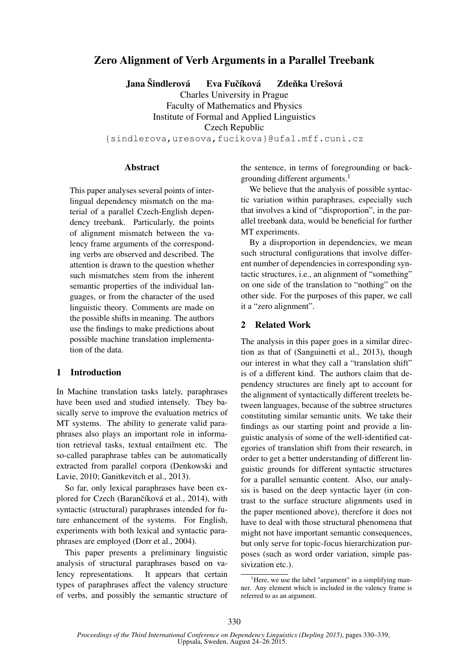# Zero Alignment of Verb Arguments in a Parallel Treebank

Jana Šindlerová → Eva Fučíková → Zdeňka Urešová

Charles University in Prague Faculty of Mathematics and Physics Institute of Formal and Applied Linguistics Czech Republic

{sindlerova,uresova,fucikova}@ufal.mff.cuni.cz

#### Abstract

This paper analyses several points of interlingual dependency mismatch on the material of a parallel Czech-English dependency treebank. Particularly, the points of alignment mismatch between the valency frame arguments of the corresponding verbs are observed and described. The attention is drawn to the question whether such mismatches stem from the inherent semantic properties of the individual languages, or from the character of the used linguistic theory. Comments are made on the possible shifts in meaning. The authors use the findings to make predictions about possible machine translation implementation of the data.

### 1 Introduction

In Machine translation tasks lately, paraphrases have been used and studied intensely. They basically serve to improve the evaluation metrics of MT systems. The ability to generate valid paraphrases also plays an important role in information retrieval tasks, textual entailment etc. The so-called paraphrase tables can be automatically extracted from parallel corpora (Denkowski and Lavie, 2010; Ganitkevitch et al., 2013).

So far, only lexical paraphrases have been explored for Czech (Barančíková et al., 2014), with syntactic (structural) paraphrases intended for future enhancement of the systems. For English, experiments with both lexical and syntactic paraphrases are employed (Dorr et al., 2004).

This paper presents a preliminary linguistic analysis of structural paraphrases based on valency representations. It appears that certain types of paraphrases affect the valency structure of verbs, and possibly the semantic structure of the sentence, in terms of foregrounding or backgrounding different arguments.<sup>1</sup>

We believe that the analysis of possible syntactic variation within paraphrases, especially such that involves a kind of "disproportion", in the parallel treebank data, would be beneficial for further MT experiments.

By a disproportion in dependencies, we mean such structural configurations that involve different number of dependencies in corresponding syntactic structures, i.e., an alignment of "something" on one side of the translation to "nothing" on the other side. For the purposes of this paper, we call it a "zero alignment".

## 2 Related Work

The analysis in this paper goes in a similar direction as that of (Sanguinetti et al., 2013), though our interest in what they call a "translation shift" is of a different kind. The authors claim that dependency structures are finely apt to account for the alignment of syntactically different treelets between languages, because of the subtree structures constituting similar semantic units. We take their findings as our starting point and provide a linguistic analysis of some of the well-identified categories of translation shift from their research, in order to get a better understanding of different linguistic grounds for different syntactic structures for a parallel semantic content. Also, our analysis is based on the deep syntactic layer (in contrast to the surface structure alignments used in the paper mentioned above), therefore it does not have to deal with those structural phenomena that might not have important semantic consequences, but only serve for topic-focus hierarchization purposes (such as word order variation, simple passivization etc.).

<sup>&</sup>lt;sup>1</sup>Here, we use the label "argument" in a simplifying manner. Any element which is included in the valency frame is referred to as an argument.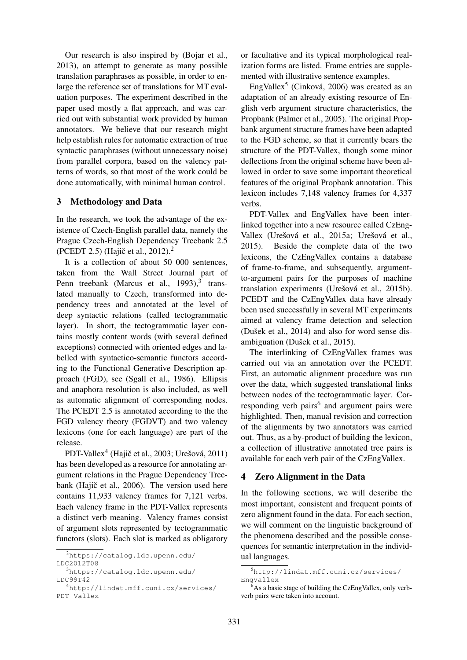Our research is also inspired by (Bojar et al., 2013), an attempt to generate as many possible translation paraphrases as possible, in order to enlarge the reference set of translations for MT evaluation purposes. The experiment described in the paper used mostly a flat approach, and was carried out with substantial work provided by human annotators. We believe that our research might help establish rules for automatic extraction of true syntactic paraphrases (without unnecessary noise) from parallel corpora, based on the valency patterns of words, so that most of the work could be done automatically, with minimal human control.

### 3 Methodology and Data

In the research, we took the advantage of the existence of Czech-English parallel data, namely the Prague Czech-English Dependency Treebank 2.5 (PCEDT 2.5) (Hajič et al., 2012).<sup>2</sup>

It is a collection of about 50 000 sentences, taken from the Wall Street Journal part of Penn treebank (Marcus et al., 1993),<sup>3</sup> translated manually to Czech, transformed into dependency trees and annotated at the level of deep syntactic relations (called tectogrammatic layer). In short, the tectogrammatic layer contains mostly content words (with several defined exceptions) connected with oriented edges and labelled with syntactico-semantic functors according to the Functional Generative Description approach (FGD), see (Sgall et al., 1986). Ellipsis and anaphora resolution is also included, as well as automatic alignment of corresponding nodes. The PCEDT 2.5 is annotated according to the the FGD valency theory (FGDVT) and two valency lexicons (one for each language) are part of the release.

PDT-Vallex<sup>4</sup> (Hajič et al., 2003; Urešová, 2011) has been developed as a resource for annotating argument relations in the Prague Dependency Treebank (Hajič et al., 2006). The version used here contains 11,933 valency frames for 7,121 verbs. Each valency frame in the PDT-Vallex represents a distinct verb meaning. Valency frames consist of argument slots represented by tectogrammatic functors (slots). Each slot is marked as obligatory

<sup>3</sup>https://catalog.ldc.upenn.edu/ LDC99T42

or facultative and its typical morphological realization forms are listed. Frame entries are supplemented with illustrative sentence examples.

EngVallex<sup>5</sup> (Cinková, 2006) was created as an adaptation of an already existing resource of English verb argument structure characteristics, the Propbank (Palmer et al., 2005). The original Propbank argument structure frames have been adapted to the FGD scheme, so that it currently bears the structure of the PDT-Vallex, though some minor deflections from the original scheme have been allowed in order to save some important theoretical features of the original Propbank annotation. This lexicon includes 7,148 valency frames for 4,337 verbs.

PDT-Vallex and EngVallex have been interlinked together into a new resource called CzEng-Vallex (Urešová et al., 2015a; Urešová et al., 2015). Beside the complete data of the two lexicons, the CzEngVallex contains a database of frame-to-frame, and subsequently, argumentto-argument pairs for the purposes of machine translation experiments (Urešová et al., 2015b). PCEDT and the CzEngVallex data have already been used successfully in several MT experiments aimed at valency frame detection and selection (Dušek et al., 2014) and also for word sense disambiguation (Dušek et al., 2015).

The interlinking of CzEngVallex frames was carried out via an annotation over the PCEDT. First, an automatic alignment procedure was run over the data, which suggested translational links between nodes of the tectogrammatic layer. Corresponding verb pairs<sup>6</sup> and argument pairs were highlighted. Then, manual revision and correction of the alignments by two annotators was carried out. Thus, as a by-product of building the lexicon, a collection of illustrative annotated tree pairs is available for each verb pair of the CzEngVallex.

#### 4 Zero Alignment in the Data

In the following sections, we will describe the most important, consistent and frequent points of zero alignment found in the data. For each section, we will comment on the linguistic background of the phenomena described and the possible consequences for semantic interpretation in the individual languages.

<sup>2</sup>https://catalog.ldc.upenn.edu/ LDC2012T08

<sup>4</sup>http://lindat.mff.cuni.cz/services/ PDT-Vallex

<sup>5</sup>http://lindat.mff.cuni.cz/services/ EngVallex

 $6<sup>6</sup>$ As a basic stage of building the CzEngVallex, only verbverb pairs were taken into account.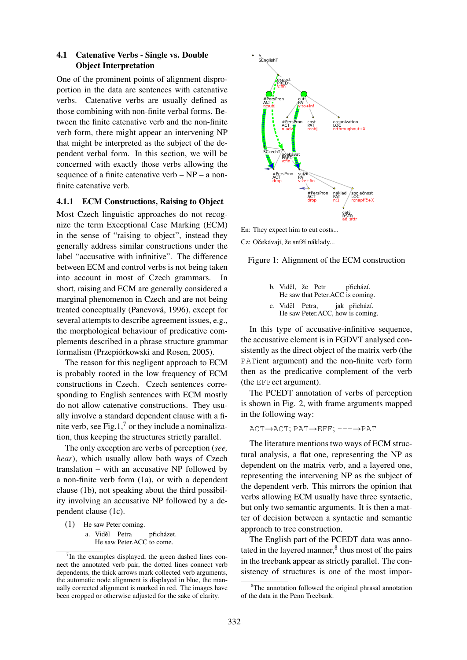### 4.1 Catenative Verbs - Single vs. Double Object Interpretation

One of the prominent points of alignment disproportion in the data are sentences with catenative verbs. Catenative verbs are usually defined as those combining with non-finite verbal forms. Between the finite catenative verb and the non-finite verb form, there might appear an intervening NP that might be interpreted as the subject of the dependent verbal form. In this section, we will be concerned with exactly those verbs allowing the sequence of a finite catenative verb – NP – a nonfinite catenative verb.

### 4.1.1 ECM Constructions, Raising to Object

Most Czech linguistic approaches do not recognize the term Exceptional Case Marking (ECM) in the sense of "raising to object", instead they generally address similar constructions under the label "accusative with infinitive". The difference between ECM and control verbs is not being taken into account in most of Czech grammars. In short, raising and ECM are generally considered a marginal phenomenon in Czech and are not being treated conceptually (Panevová, 1996), except for several attempts to describe agreement issues, e.g., the morphological behaviour of predicative complements described in a phrase structure grammar formalism (Przepiórkowski and Rosen, 2005).

The reason for this negligent approach to ECM is probably rooted in the low frequency of ECM constructions in Czech. Czech sentences corresponding to English sentences with ECM mostly do not allow catenative constructions. They usually involve a standard dependent clause with a finite verb, see Fig.1, $^7$  or they include a nominalization, thus keeping the structures strictly parallel.

The only exception are verbs of perception (*see, hear*), which usually allow both ways of Czech translation – with an accusative NP followed by a non-finite verb form (1a), or with a dependent clause (1b), not speaking about the third possibility involving an accusative NP followed by a dependent clause (1c).

(1) He saw Peter coming.

a. Viděl Petra He saw Peter.ACC to come. přicházet.



Cz: Očekávají, že sníží náklady...

Figure 1: Alignment of the ECM construction

- b. Viděl, že Petr He saw that Peter.ACC is coming. přichází.
- c. Viděl Petra, He saw Peter.ACC, how is coming. jak přichází.

In this type of accusative-infinitive sequence, the accusative element is in FGDVT analysed consistently as the direct object of the matrix verb (the PATient argument) and the non-finite verb form then as the predicative complement of the verb (the EFFect argument).

The PCEDT annotation of verbs of perception is shown in Fig. 2, with frame arguments mapped in the following way:

ACT→ACT; PAT→EFF; ---→PAT

The literature mentions two ways of ECM structural analysis, a flat one, representing the NP as dependent on the matrix verb, and a layered one, representing the intervening NP as the subject of the dependent verb. This mirrors the opinion that verbs allowing ECM usually have three syntactic, but only two semantic arguments. It is then a matter of decision between a syntactic and semantic approach to tree construction.

The English part of the PCEDT data was annotated in the layered manner, $<sup>8</sup>$  thus most of the pairs</sup> in the treebank appear as strictly parallel. The consistency of structures is one of the most impor-

 $7$ In the examples displayed, the green dashed lines connect the annotated verb pair, the dotted lines connect verb dependents, the thick arrows mark collected verb arguments, the automatic node alignment is displayed in blue, the manually corrected alignment is marked in red. The images have been cropped or otherwise adjusted for the sake of clarity.

<sup>&</sup>lt;sup>8</sup>The annotation followed the original phrasal annotation of the data in the Penn Treebank.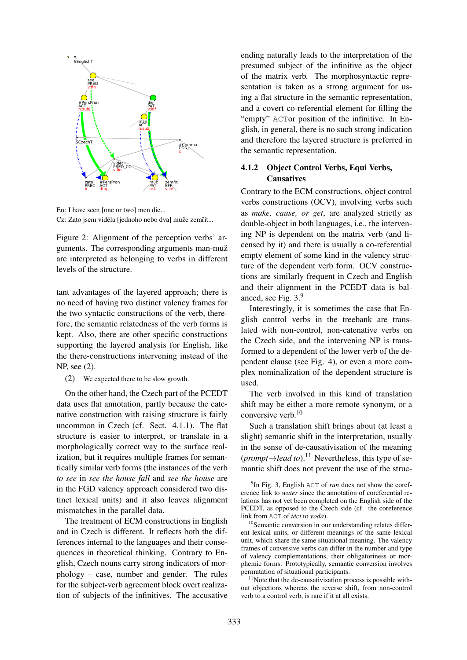

En: I have seen [one or two] men die... Cz: Zato jsem viděla [jednoho nebo dva] muže zemřít...

Figure 2: Alignment of the perception verbs' arguments. The corresponding arguments man-muž are interpreted as belonging to verbs in different levels of the structure.

tant advantages of the layered approach; there is no need of having two distinct valency frames for the two syntactic constructions of the verb, therefore, the semantic relatedness of the verb forms is kept. Also, there are other specific constructions supporting the layered analysis for English, like the there-constructions intervening instead of the NP, see (2).

(2) We expected there to be slow growth.

On the other hand, the Czech part of the PCEDT data uses flat annotation, partly because the catenative construction with raising structure is fairly uncommon in Czech (cf. Sect. 4.1.1). The flat structure is easier to interpret, or translate in a morphologically correct way to the surface realization, but it requires multiple frames for semantically similar verb forms (the instances of the verb *to see* in *see the house fall* and *see the house* are in the FGD valency approach considered two distinct lexical units) and it also leaves alignment mismatches in the parallel data.

The treatment of ECM constructions in English and in Czech is different. It reflects both the differences internal to the languages and their consequences in theoretical thinking. Contrary to English, Czech nouns carry strong indicators of morphology – case, number and gender. The rules for the subject-verb agreement block overt realization of subjects of the infinitives. The accusative ending naturally leads to the interpretation of the presumed subject of the infinitive as the object of the matrix verb. The morphosyntactic representation is taken as a strong argument for using a flat structure in the semantic representation, and a covert co-referential element for filling the "empty" ACTor position of the infinitive. In English, in general, there is no such strong indication and therefore the layered structure is preferred in the semantic representation.

## 4.1.2 Object Control Verbs, Equi Verbs, **Causatives**

Contrary to the ECM constructions, object control verbs constructions (OCV), involving verbs such as *make, cause, or get*, are analyzed strictly as double-object in both languages, i.e., the intervening NP is dependent on the matrix verb (and licensed by it) and there is usually a co-referential empty element of some kind in the valency structure of the dependent verb form. OCV constructions are similarly frequent in Czech and English and their alignment in the PCEDT data is balanced, see Fig.  $3<sup>9</sup>$ 

Interestingly, it is sometimes the case that English control verbs in the treebank are translated with non-control, non-catenative verbs on the Czech side, and the intervening NP is transformed to a dependent of the lower verb of the dependent clause (see Fig. 4), or even a more complex nominalization of the dependent structure is used.

The verb involved in this kind of translation shift may be either a more remote synonym, or a conversive verb.<sup>10</sup>

Such a translation shift brings about (at least a slight) semantic shift in the interpretation, usually in the sense of de-causativisation of the meaning  $(prompt \rightarrow lead to).$ <sup>11</sup> Nevertheless, this type of semantic shift does not prevent the use of the struc-

 $11$ Note that the de-causativisation process is possible without objections whereas the reverse shift, from non-control verb to a control verb, is rare if it at all exists.

<sup>&</sup>lt;sup>9</sup>In Fig. 3, English ACT of *run* does not show the coreference link to *water* since the annotation of coreferential relations has not yet been completed on the English side of the PCEDT, as opposed to the Czech side (cf. the coreference link from ACT of *téci* to *voda*).

<sup>&</sup>lt;sup>10</sup>Semantic conversion in our understanding relates different lexical units, or different meanings of the same lexical unit, which share the same situational meaning. The valency frames of conversive verbs can differ in the number and type of valency complementations, their obligatoriness or morphemic forms. Prototypically, semantic conversion involves permutation of situational participants.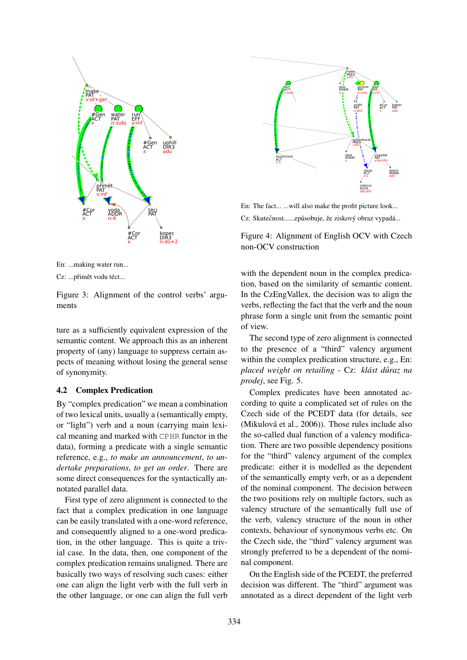



Cz: ...přimět vodu téct...

Figure 3: Alignment of the control verbs' arguments

ture as a sufficiently equivalent expression of the semantic content. We approach this as an inherent property of (any) language to suppress certain aspects of meaning without losing the general sense of synonymity.

### **4.2 Complex Predication**

By "complex predication" we mean a combination of two lexical units, usually a (semantically empty, or "light") verb and a noun (carrying main lexical meaning and marked with CPHR functor in the data), forming a predicate with a single semantic reference, e.g., to make an announcement, to undertake preparations, to get an order. There are some direct consequences for the syntactically annotated parallel data.

First type of zero alignment is connected to the fact that a complex predication in one language can be easily translated with a one-word reference, and consequently aligned to a one-word predication, in the other language. This is quite a trivial case. In the data, then, one component of the complex predication remains unaligned. There are basically two ways of resolving such cases: either one can align the light verb with the full verb in the other language, or one can align the full verb



En: The fact... ... will also make the profit picture look... Cz: Skutečnost......způsobuje, že ziskový obraz vypadá...

Figure 4: Alignment of English OCV with Czech non-OCV construction

with the dependent noun in the complex predication, based on the similarity of semantic content. In the CzEngVallex, the decision was to align the verbs, reflecting the fact that the verb and the noun phrase form a single unit from the semantic point of view.

The second type of zero alignment is connected to the presence of a "third" valency argument within the complex predication structure, e.g., En: placed weight on retailing - Cz: klást důraz na prodej, see Fig. 5.

Complex predicates have been annotated according to quite a complicated set of rules on the Czech side of the PCEDT data (for details, see (Mikulová et al., 2006)). Those rules include also the so-called dual function of a valency modification. There are two possible dependency positions for the "third" valency argument of the complex predicate: either it is modelled as the dependent of the semantically empty verb, or as a dependent of the nominal component. The decision between the two positions rely on multiple factors, such as valency structure of the semantically full use of the verb, valency structure of the noun in other contexts, behaviour of synonymous verbs etc. On the Czech side, the "third" valency argument was strongly preferred to be a dependent of the nominal component.

On the English side of the PCEDT, the preferred decision was different. The "third" argument was annotated as a direct dependent of the light verb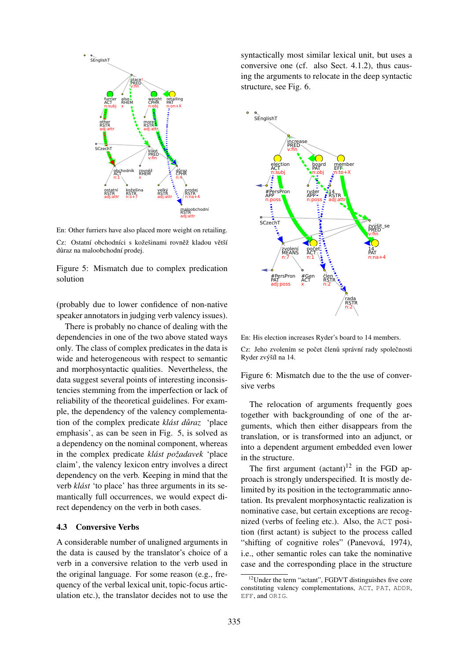

En: Other furriers have also placed more weight on retailing. Cz: Ostatní obchodníci s kožešinami rovněž kladou větší důraz na maloobchodní prodej.

Figure 5: Mismatch due to complex predication solution

(probably due to lower confidence of non-native speaker annotators in judging verb valency issues).

There is probably no chance of dealing with the dependencies in one of the two above stated ways only. The class of complex predicates in the data is wide and heterogeneous with respect to semantic and morphosyntactic qualities. Nevertheless, the data suggest several points of interesting inconsistencies stemming from the imperfection or lack of reliability of the theoretical guidelines. For example, the dependency of the valency complementation of the complex predicate *klást důraz* 'place' emphasis', as can be seen in Fig. 5, is solved as a dependency on the nominal component, whereas in the complex predicate *klást požadavek* 'place claim', the valency lexicon entry involves a direct dependency on the verb. Keeping in mind that the verb *klást* 'to place' has three arguments in its semantically full occurrences, we would expect direct dependency on the verb in both cases.

#### 4.3 Conversive Verbs

A considerable number of unaligned arguments in the data is caused by the translator's choice of a verb in a conversive relation to the verb used in the original language. For some reason (e.g., frequency of the verbal lexical unit, topic-focus articulation etc.), the translator decides not to use the

syntactically most similar lexical unit, but uses a conversive one (cf. also Sect. 4.1.2), thus causing the arguments to relocate in the deep syntactic structure, see Fig. 6.



En: His election increases Ryder's board to 14 members.

Cz: Jeho zvolením se počet členů správní rady společnosti Ryder zvýšíl na 14.

Figure 6: Mismatch due to the the use of conversive verbs

The relocation of arguments frequently goes together with backgrounding of one of the arguments, which then either disappears from the translation, or is transformed into an adjunct, or into a dependent argument embedded even lower in the structure.

The first argument  $(\text{actant})^{12}$  in the FGD approach is strongly underspecified. It is mostly delimited by its position in the tectogrammatic annotation. Its prevalent morphosyntactic realization is nominative case, but certain exceptions are recognized (verbs of feeling etc.). Also, the ACT position (first actant) is subject to the process called "shifting of cognitive roles" (Panevová, 1974), i.e., other semantic roles can take the nominative case and the corresponding place in the structure

<sup>&</sup>lt;sup>12</sup>Under the term "actant", FGDVT distinguishes five core constituting valency complementations, ACT, PAT, ADDR, EFF, and ORIG.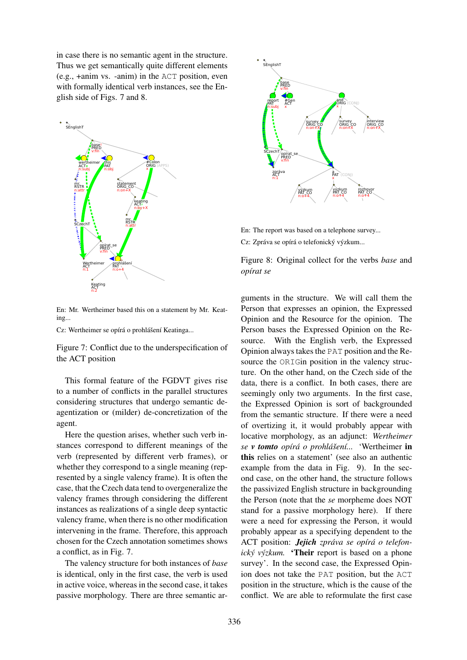in case there is no semantic agent in the structure. Thus we get semantically quite different elements (e.g., +anim vs. -anim) in the ACT position, even with formally identical verb instances, see the English side of Figs. 7 and 8.



En: Mr. Wertheimer based this on a statement by Mr. Keating...

Cz: Wertheimer se opírá o prohlášení Keatinga...

Figure 7: Conflict due to the underspecification of the ACT position

This formal feature of the FGDVT gives rise to a number of conflicts in the parallel structures considering structures that undergo semantic deagentization or (milder) de-concretization of the agent.

Here the question arises, whether such verb instances correspond to different meanings of the verb (represented by different verb frames), or whether they correspond to a single meaning (represented by a single valency frame). It is often the case, that the Czech data tend to overgeneralize the valency frames through considering the different instances as realizations of a single deep syntactic valency frame, when there is no other modification intervening in the frame. Therefore, this approach chosen for the Czech annotation sometimes shows a conflict, as in Fig. 7.

The valency structure for both instances of *base* is identical, only in the first case, the verb is used in active voice, whereas in the second case, it takes passive morphology. There are three semantic ar-



En: The report was based on a telephone survey...

Cz: Zpráva se opírá o telefonický výzkum...

Figure 8: Original collect for the verbs *base* and *opírat se*

guments in the structure. We will call them the Person that expresses an opinion, the Expressed Opinion and the Resource for the opinion. The Person bases the Expressed Opinion on the Resource. With the English verb, the Expressed Opinion always takes the PAT position and the Resource the ORIGin position in the valency structure. On the other hand, on the Czech side of the data, there is a conflict. In both cases, there are seemingly only two arguments. In the first case, the Expressed Opinion is sort of backgrounded from the semantic structure. If there were a need of overtizing it, it would probably appear with locative morphology, as an adjunct: *Wertheimer se v tomto opírá o prohlášení...* 'Wertheimer in this relies on a statement' (see also an authentic example from the data in Fig. 9). In the second case, on the other hand, the structure follows the passivized English structure in backgrounding the Person (note that the *se* morpheme does NOT stand for a passive morphology here). If there were a need for expressing the Person, it would probably appear as a specifying dependent to the ACT position: *Jejich zpráva se opírá o telefonický výzkum.* 'Their report is based on a phone survey'. In the second case, the Expressed Opinion does not take the PAT position, but the ACT position in the structure, which is the cause of the conflict. We are able to reformulate the first case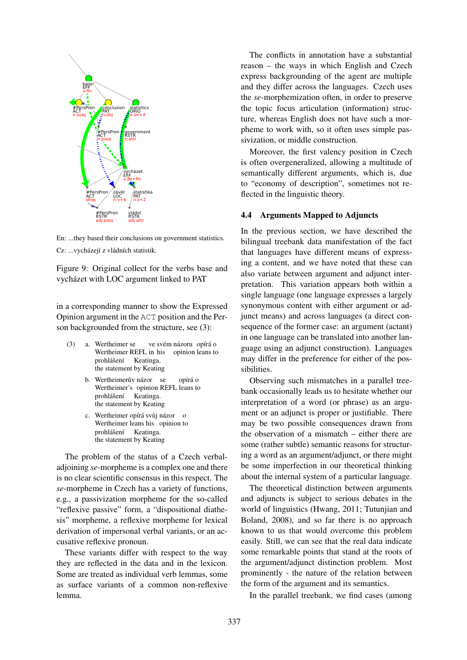

En: ...they based their conclusions on government statistics. Cz: ...vycházejí z vládních statistik.

Figure 9: Original collect for the verbs base and vycházet with LOC argument linked to PAT

in a corresponding manner to show the Expressed Opinion argument in the ACT position and the Person backgrounded from the structure, see (3):

- (3) a. Wertheimer se Wertheimer REFL in his ve svém názoru opírá o opinion leans to prohlášení Keatinga. the statement by Keating
	- b. Wertheimerův názor se Wertheimer's opinion REFL leans to opírá o prohlášení Keatinga. the statement by Keating
	- c. Wertheimer opírá svůj názor o Wertheimer leans his opinion to prohlášení Keatinga. the statement by Keating

The problem of the status of a Czech verbaladjoining *se*-morpheme is a complex one and there is no clear scientific consensus in this respect. The *se*-morpheme in Czech has a variety of functions, e.g., a passivization morpheme for the so-called "reflexive passive" form, a "dispositional diathesis" morpheme, a reflexive morpheme for lexical derivation of impersonal verbal variants, or an accusative reflexive pronoun.

These variants differ with respect to the way they are reflected in the data and in the lexicon. Some are treated as individual verb lemmas, some as surface variants of a common non-reflexive lemma.

The conflicts in annotation have a substantial reason – the ways in which English and Czech express backgrounding of the agent are multiple and they differ across the languages. Czech uses the *se*-morphemization often, in order to preserve the topic focus articulation (information) structure, whereas English does not have such a morpheme to work with, so it often uses simple passivization, or middle construction.

Moreover, the first valency position in Czech is often overgeneralized, allowing a multitude of semantically different arguments, which is, due to "economy of description", sometimes not reflected in the linguistic theory.

#### 4.4 Arguments Mapped to Adjuncts

In the previous section, we have described the bilingual treebank data manifestation of the fact that languages have different means of expressing a content, and we have noted that these can also variate between argument and adjunct interpretation. This variation appears both within a single language (one language expresses a largely synonymous content with either argument or adjunct means) and across languages (a direct consequence of the former case: an argument (actant) in one language can be translated into another language using an adjunct construction). Languages may differ in the preference for either of the possibilities.

Observing such mismatches in a parallel treebank occasionally leads us to hesitate whether our interpretation of a word (or phrase) as an argument or an adjunct is proper or justifiable. There may be two possible consequences drawn from the observation of a mismatch – either there are some (rather subtle) semantic reasons for structuring a word as an argument/adjunct, or there might be some imperfection in our theoretical thinking about the internal system of a particular language.

The theoretical distinction between arguments and adjuncts is subject to serious debates in the world of linguistics (Hwang, 2011; Tutunjian and Boland, 2008), and so far there is no approach known to us that would overcome this problem easily. Still, we can see that the real data indicate some remarkable points that stand at the roots of the argument/adjunct distinction problem. Most prominently - the nature of the relation between the form of the argument and its semantics.

In the parallel treebank, we find cases (among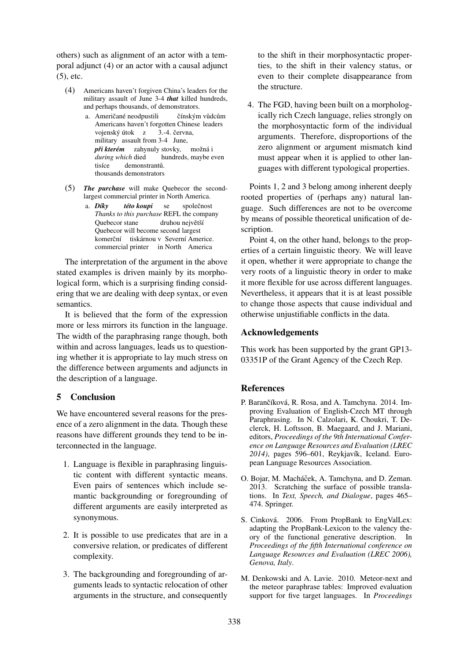others) such as alignment of an actor with a temporal adjunct (4) or an actor with a causal adjunct  $(5)$ , etc.

- (4) Americans haven't forgiven China's leaders for the military assault of June 3-4 that killed hundreds, and perhaps thousands, of demonstrators.
	- a. Američané neodpustili čínským vůdcům Americans haven't forgotten Chinese leaders vojenský útok z 3.-4. června, military assault from 3-4 June, při kterém zahynuly stovky, možná i during which died hundreds, maybe even tisíce demonstrantů. thousands demonstrators
- $(5)$  The purchase will make Quebecor the secondlargest commercial printer in North America.
	- a. Díkv společnost této koupi se Thanks to this purchase REFL the company Quebecor stane druhou neivětší Quebecor will become second largest komerční tiskárnou v Severní Americe. commercial printer in North America

The interpretation of the argument in the above stated examples is driven mainly by its morphological form, which is a surprising finding considering that we are dealing with deep syntax, or even semantics.

It is believed that the form of the expression more or less mirrors its function in the language. The width of the paraphrasing range though, both within and across languages, leads us to questioning whether it is appropriate to lay much stress on the difference between arguments and adjuncts in the description of a language.

# 5 Conclusion

We have encountered several reasons for the presence of a zero alignment in the data. Though these reasons have different grounds they tend to be interconnected in the language.

- 1. Language is flexible in paraphrasing linguistic content with different syntactic means. Even pairs of sentences which include semantic backgrounding or foregrounding of different arguments are easily interpreted as synonymous.
- 2. It is possible to use predicates that are in a conversive relation, or predicates of different complexity.
- 3. The backgrounding and foregrounding of arguments leads to syntactic relocation of other arguments in the structure, and consequently

to the shift in their morphosyntactic properties, to the shift in their valency status, or even to their complete disappearance from the structure.

4. The FGD, having been built on a morphologically rich Czech language, relies strongly on the morphosyntactic form of the individual arguments. Therefore, disproportions of the zero alignment or argument mismatch kind must appear when it is applied to other languages with different typological properties.

Points 1, 2 and 3 belong among inherent deeply rooted properties of (perhaps any) natural language. Such differences are not to be overcome by means of possible theoretical unification of description.

Point 4, on the other hand, belongs to the properties of a certain linguistic theory. We will leave it open, whether it were appropriate to change the very roots of a linguistic theory in order to make it more flexible for use across different languages. Nevertheless, it appears that it is at least possible to change those aspects that cause individual and otherwise uniustifiable conflicts in the data.

## **Acknowledgements**

This work has been supported by the grant GP13-03351P of the Grant Agency of the Czech Rep.

# **References**

- P. Barančíková, R. Rosa, and A. Tamchyna, 2014. Improving Evaluation of English-Czech MT through Paraphrasing. In N. Calzolari, K. Choukri, T. Declerck, H. Loftsson, B. Maegaard, and J. Mariani, editors, Proceedings of the 9th International Conference on Language Resources and Evaluation (LREC 2014), pages 596-601, Reykjavík, Iceland. European Language Resources Association.
- O. Bojar, M. Macháček, A. Tamchyna, and D. Zeman. 2013. Scratching the surface of possible translations. In Text, Speech, and Dialogue, pages 465-474. Springer.
- S. Cinková. 2006. From PropBank to EngValLex: adapting the PropBank-Lexicon to the valency theory of the functional generative description. In Proceedings of the fifth International conference on Language Resources and Evaluation (LREC 2006). Genova, Italy.
- M. Denkowski and A. Lavie. 2010. Meteor-next and the meteor paraphrase tables: Improved evaluation support for five target languages. In Proceedings